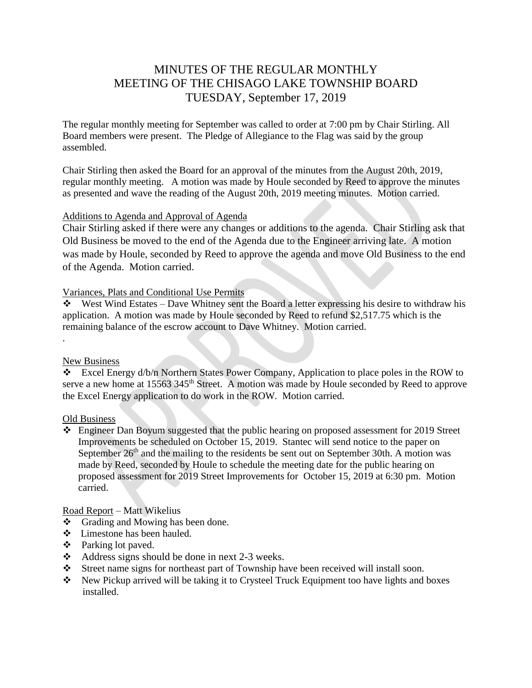# MINUTES OF THE REGULAR MONTHLY MEETING OF THE CHISAGO LAKE TOWNSHIP BOARD TUESDAY, September 17, 2019

The regular monthly meeting for September was called to order at 7:00 pm by Chair Stirling. All Board members were present. The Pledge of Allegiance to the Flag was said by the group assembled.

Chair Stirling then asked the Board for an approval of the minutes from the August 20th, 2019, regular monthly meeting. A motion was made by Houle seconded by Reed to approve the minutes as presented and wave the reading of the August 20th, 2019 meeting minutes. Motion carried.

## Additions to Agenda and Approval of Agenda

Chair Stirling asked if there were any changes or additions to the agenda. Chair Stirling ask that Old Business be moved to the end of the Agenda due to the Engineer arriving late. A motion was made by Houle, seconded by Reed to approve the agenda and move Old Business to the end of the Agenda. Motion carried.

## Variances, Plats and Conditional Use Permits

West Wind Estates – Dave Whitney sent the Board a letter expressing his desire to withdraw his application. A motion was made by Houle seconded by Reed to refund \$2,517.75 which is the remaining balance of the escrow account to Dave Whitney. Motion carried.

## New Business

.

 Excel Energy d/b/n Northern States Power Company, Application to place poles in the ROW to serve a new home at 15563 345<sup>th</sup> Street. A motion was made by Houle seconded by Reed to approve the Excel Energy application to do work in the ROW. Motion carried.

## Old Business

 Engineer Dan Boyum suggested that the public hearing on proposed assessment for 2019 Street Improvements be scheduled on October 15, 2019. Stantec will send notice to the paper on September  $26<sup>th</sup>$  and the mailing to the residents be sent out on September 30th. A motion was made by Reed, seconded by Houle to schedule the meeting date for the public hearing on proposed assessment for 2019 Street Improvements for October 15, 2019 at 6:30 pm. Motion carried.

# Road Report – Matt Wikelius

- Grading and Mowing has been done.
- Limestone has been hauled.
- Parking lot paved.
- $\triangleleft$  Address signs should be done in next 2-3 weeks.
- Street name signs for northeast part of Township have been received will install soon.
- \* New Pickup arrived will be taking it to Crysteel Truck Equipment too have lights and boxes installed.